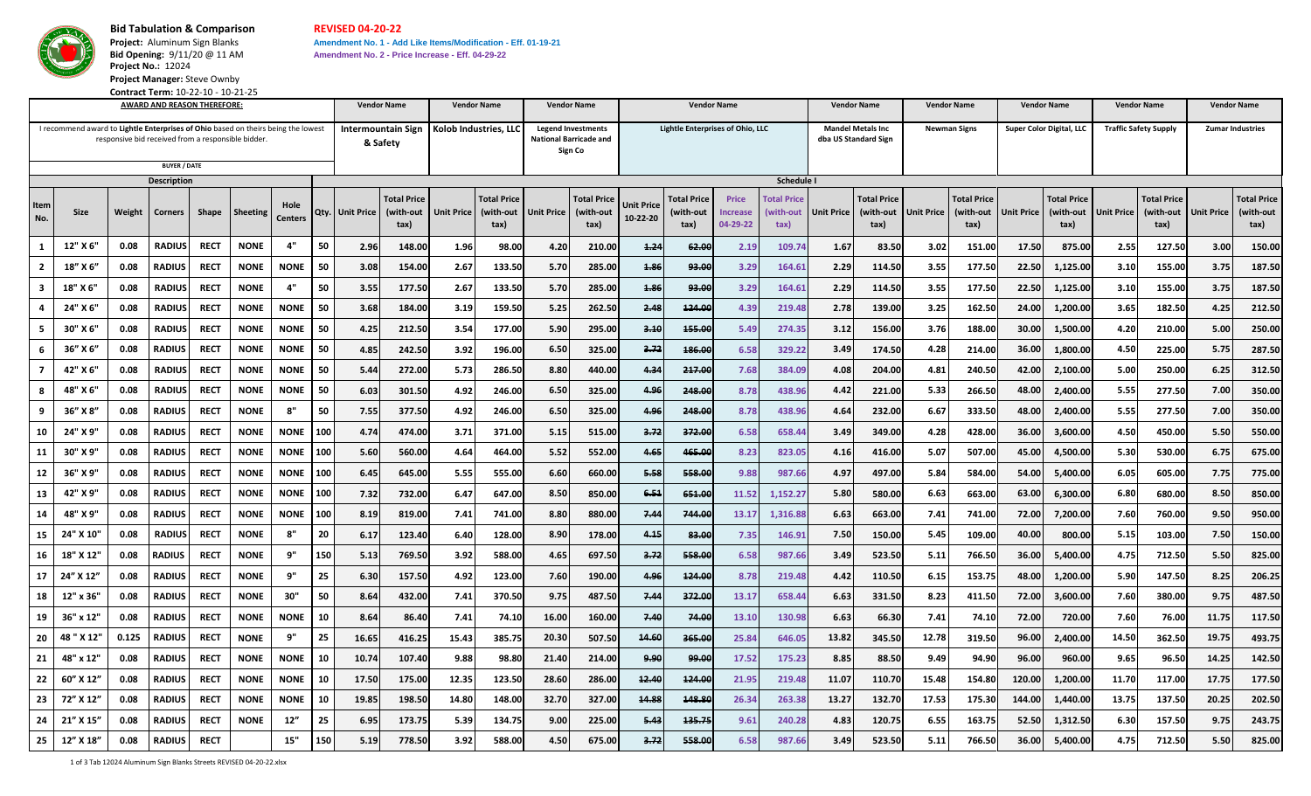

**Project Manager:** Steve Ownby **Contract Term:** 10-22-10 - 10-21-25

## **Bid Tabulation & Comparison REVISED 04-20-22**

**AWARD AND REASON THEREFORE: Vendor Name Vendor Name Vendor Name Vendor Name**

**Project: Aluminum Sign Blanks <b>Amendment No. 1 - Add Like Items/Modification - Eff. 01-19-21 Bid Opening:** 9/11/20 @ 11 AM **Amendment No. 2 - Price Increase - Eff. 04-29-22 Project No.:** 12024

**Item No. Size Weight Corners Shape Sheeting Hole Centers Qty. Unit Price Total Price (with-out tax) Unit Price Total Price (with-out tax) Unit Price Total Price (with-out tax) Unit Price 10-22-20 Total Price (with-out tax) Price Increase 04-29-22 Total Price (with-out tax) Unit Price Total Price (with-out tax) Unit Price Total Price (with-out tax) Unit Price Total Price (with-out tax) Unit Price Total Price (with-out tax) Unit Price** 1 | 12" X 6" | 0.08 | RADIUS| RECT | NONE | 4" | 50 | 2.96| 148.00| 1.96| 98.00| 4.20| 210.00| <del>1.24| 62.00</del>| 2.19| 109.74| 1.67| 83.50| 3.02| 151.00| 17.50| 875.00| 2.55| 127.50| 3.00| 150.00 2 | 18" X 6" | 0.08 | RADIUS | RECT | NONE | NONE | 50 | 3.08 | 154.00 | 2.67 | 133.50 | 5.70 | 285.00 | <del>1.86</del> | 9<del>3.00</del> | 3.29 | 164.61 | 2.29 | 114.50 | 3.55 | 177.50 | 22.50 1,125.00 | 3.10 | 155.00 | 3.75 | 187.50 3 | 18" X 6" | 0.08 | RADIUS| RECT | NONE | 4" | 50 | 3.55 | 177.50 | 2.67 | 133.50 | 5.70 | 285.00 | <del>1.86</del> | 9<del>3.00</del> | 3.29 | 164.61 | 2.29 | 114.50 | 3.55 | 177.50 | 22.50 1,125.00 | 3.10 | 155.00 | 3.75 | 187.50 4 | 24" X 6" | 0.08 | RADIUS| RECT | NONE | NONE | 50 | 3.68| 184.00| 3.19| 159.50| 5.25| 262.50| 2.48| <del>124.00</del>| 4.39| 219.48| 2.78| 139.00| 3.25| 162.50| 24.00| 1,200.00| 3.65| 182.50| 4.25| 212.50 5 30" X 6" | 0.08 | RADIUS| RECT | NONE | NONE | 50 | 4.25| 212.50| 3.54| 177.00| 5.90| 295.00| <del>3.10</del>| <del>155.00</del>| 5.49| 274.35| 3.12| 156.00| 3.76| 188.00| 30.00| 1,500.00| 4.20| 210.00| 5.00| 250.00 6 | 36″ X 6″ | 0.08 | RADIUS | RECT | NONE | NONE | 50 | 4.85 | 242.50 | 3.92 | 196.00 | 6.50 | 325.00 | 3.72 | 186.00 | 3.72 | 3.49 329.22 | 3.49 | 174.50 | 4.28 | 214.00 | 36.00 1,800.00 | 4.50 | 225.00 5.75 | 287.50 7 | 42" X 6" | 0.08 | RADIUS| RECT | NONE | NONE | 50 | 5.44| 272.00| 5.73| 286.50| 8.80| 440.00| 4<del>.3</del>4| <del>217.00</del>| 7.68| 384.09| 4.08| 204.00| 4.81| 240.50| 42.00| 2,100.00| 5.00| 250.00| 6.25| 312.50 8 | 48" X 6" | 0.08 | RADIUS| RECT | NONE | NONE | 50 | 6.03 | 301.50 | 4.92 | 246.00 | 6.50 | 325.00 | 4.<del>96</del> | 248.00 | 8.78 | 438.96 | 4.42 | 221.00 | 5.33 | 266.50 | 48.00 | 2,400.00 | 5.55 | 277.50 | 7.00 | 350.00 9 | 36″ X 8″ | 0.08 | RADIUS | RECT | NONE | 8" | 50 | 7.55 | 377.50 | 4.92 | 246.00 | 6.50 | 325.00 | 4.<del>96</del> | 24<del>8.00</del> | 8.78 | 438.96 | 4.64 | 232.00 | 6.67 | 333.50 | 48.00 | 2,400.00 | 5.55 | 277.50 | 7.00 | 350.00 10 | 24" X 9" | 0.08 | RADIUS | RECT | NONE | NONE | 100 | 4.74 | 474.00 | 3.71 | 371.00 | 5.15 | 515.00 | 3<del>.72</del> | 3<del>72.00</del> | 6.58 | 658.44 | 3.49 | 349.00 | 4.28 | 428.00 | 36.00 | 36.00 | 4.50 | 450.00 | 5.50 | 550.00 11 | 30" X 9" | 0.08 | RADIUS | RECT | NONE | NONE | 100 | 5.60 | 560.00 | 4.64 | 464.00 | 5.52 | 552.00 | 4<del>.65 | 465.00</del> | 8.23 | 823.05 | 4.16 | 416.00 | 5.07 | 507.00 | 45.00 | 4,500.00 | 5.30 | 530.00 | 6.75 | 675.00 12 | 36" X 9" | 0.08 | RADIUS | RECT | NONE | NONE | 100 | 6.45 | 645.00 | 5.55 | 555.00 | 6.60 | 660.00 | 5.88 | 558.00 | 9.88 | 987.66 | 4.97 | 497.00 | 5.84 | 584.00 | 54.00 | 5,400.00 | 6.05 | 605.00 | 7.75 | 775.00 13 | 42" X 9" | 0.08 |RADIUS | RECT | NONE | NONE | 100 | 7.32 | 732.00 | 6.47 | 647.00 | 8.50 | 850.00 | 6<del>.51</del> | 6<del>51.00</del> 11.52 1,152.27 | 5.80 | 580.00 | 6.30 | 63.00 | 6.300.00 | 6.80 | 680.00 | 8.50 | 850.00 14 | 48" X 9" | 0.08 | RADIUS | RECT | NONE | NONE | 100 | 8.19 | 819.00 | 7.41 | 741.00 | 8.80 | 80.00 | 7.44 | 744.<del>00</del> 13.17 1,316.88 | 663.00 7.41 741.00 72.00 7.200.00 7.60 760.00 9.50 950.00 15 | 24" X 10" | 0.08 | RADIUS| RECT | NONE | 8" | 20 | 6.17 | 123.40 | 6.40 | 128.00 | 8.90 | 178.00 | 8.00 | 7.35 | 146.91 | 7.50 | 150.00 | 5.45 | 109.00 | 40.00 | 800.00 | 5.15 | 103.00 | 7.50 | 150.00 16 | 18" X 12" | 0.08 |RADIUS | RECT | NONE | 9" | 150 | 5.13 | 769.50 | 3.92 | 588.00 | 4.65 | 697.50 | <del>3.72</del> | 5<del>58.00</del> 6.58 | 987.66 | 3.49 | 523.50 | 5.11 | 766.50 | 36.00 | 5,400.00 | 4.75 | 712.50 | 5.50 | 825.00 17 | 24" X 12" | 0.08 | RADIUS | RECT | NONE | 9" | 25 | 6.30| 157.50| 4.92| 123.00| 7.60| 10.00| <del>4.96</del>| <u>4<del>20.00|</del> 8.78| 219.48| 4.42| 110.50| 6.15| 153.75| 48.00| 1,200.00| 5.90| 147.50| 8.25| 206.25</u> 18 | 12" x 36" | 0.08 | RADIUS | RECT | NONE | 30" | 50 | 8.64 | 432.00 | 7.41 | 370.50 9.75 | 487.50 <del>| 7.44</del> | 3<del>72.00</del> 13.17 658.44 6.63 | 331.50 8.23 | 411.50 72.00 3,600.00 7.60 380.00 9.75 | 487.50 19 | 36" x 12" | 0.08 | RADIUS | RECT | NONE | NONE | 10 | 8.64 | 86.40 | 7.41 | 74.10 | 16.00 | 7<del>.40</del> | 7.40 | 7.40 | 13.10 130.98 | 6.63 | 66.30 | 7.41 | 74.10 72.00 720.00 7.60 76.00 11.75 117.50 20 | 48" X 12" | 0.125 | RADIUS | RECT | NONE | 9" | 25 | 16.65 | 416.25 | 15.43 | 385.75 | 20.30 | 507.50 | 1<del>4.60</del> | 3<del>65.00</del> | 25.84 646.05 | 13.82 | 345.50 | 12.78 | 319.50 96.00 | 2,400.00 | 14.50 | 362.50 | 19.75 | 4 21 | 48" x 12" | 0.08 | RADIUS | RECT | NONE | NONE | 10 | 10.74 | 107.40 | 9.88 | 98.80 | 21.40 | 214.00 | 9.99 | 9.99 | 17.52 | 17.52 | 88.50 | 9.49 | 94.90 960.00 960.00 | 9.55 | 96.50 14.25 | 142.50 22 | 60″ X 12″ | 0.08 | RADIUS | RECT | NONE | NONE | 10 | 17.50 | 17.50 | 17.50 | 12.35 | 123.50 | 28.60 | 28.60 | 12.40 | 12.40 | 21.95 | 21.948 | 11.07 | 11.00 | 15.48 | 154.80 | 120.00 | 1,200.00 | 11.70 | 117.00 | 17. 23 | 72″ X 12″ | 0.08 | RADIUS | RECT | NONE | NONE | 10 | 19.85 | 198.50 | 14.80 | 14.80 | 32.70 | 32.70 | 14.88 | 14.88 | 26.34 | 263.38 | 13.27 | 13.70 | 17.53 | 175.30 | 144.00 | 1,440.00 | 13.75 | 137.50 | 20.25 | 202 I recommend award to **Lightle Enterprises of Ohio** based on theirs being the lowest responsive bid received from a responsible bidder. **BUYER / DATE Description Intermountain Sign & Safety Kolob Industries, LLC Legend Investments National Barricade and Sign Co Lightle Enterprises of Ohio, LLC Super Color Digital, LLC Traffic Safety Supply Zumar Industries Schedule I Newman Signs Mandel Metals Inc dba US Standard Sign** 

24 | 21″ X 15″ | 0.08 | RADIUS | RECT | NONE | 12″ | 25 | 6.95 | 133.75 | 5.39 | 134.75 | 9.00 | 225.00 | <del>5.43</del> | <del>135.75 |</del> 9.61 | 240.28 | 4.83 | 120.75 | 6.55 | 163.75 | 52.50 | 1,312.50 | 6.30 | 157.50 | 9 25|12"X18"| 0.08|RADIUS|RECT| | 15"|150| 5.19| 778.50| 3.92| 588.00| 4.50| 675.00| <del>3.72</del>| <del>558.00</del>| 6.58| 987.66| 3.49| 523.50| 5.11| 766.50| 36.00| 5,400.00| 4.75| 712.50| 5.50| 825.00

**Total Price (with-out tax)**

**Vendor Name**

**Vendor Name**

**Vendor Name**

**Vendor Name**

**Vendor Name**

1 of 3 Tab 12024 Aluminum Sign Blanks Streets REVISED 04-20-22.xlsx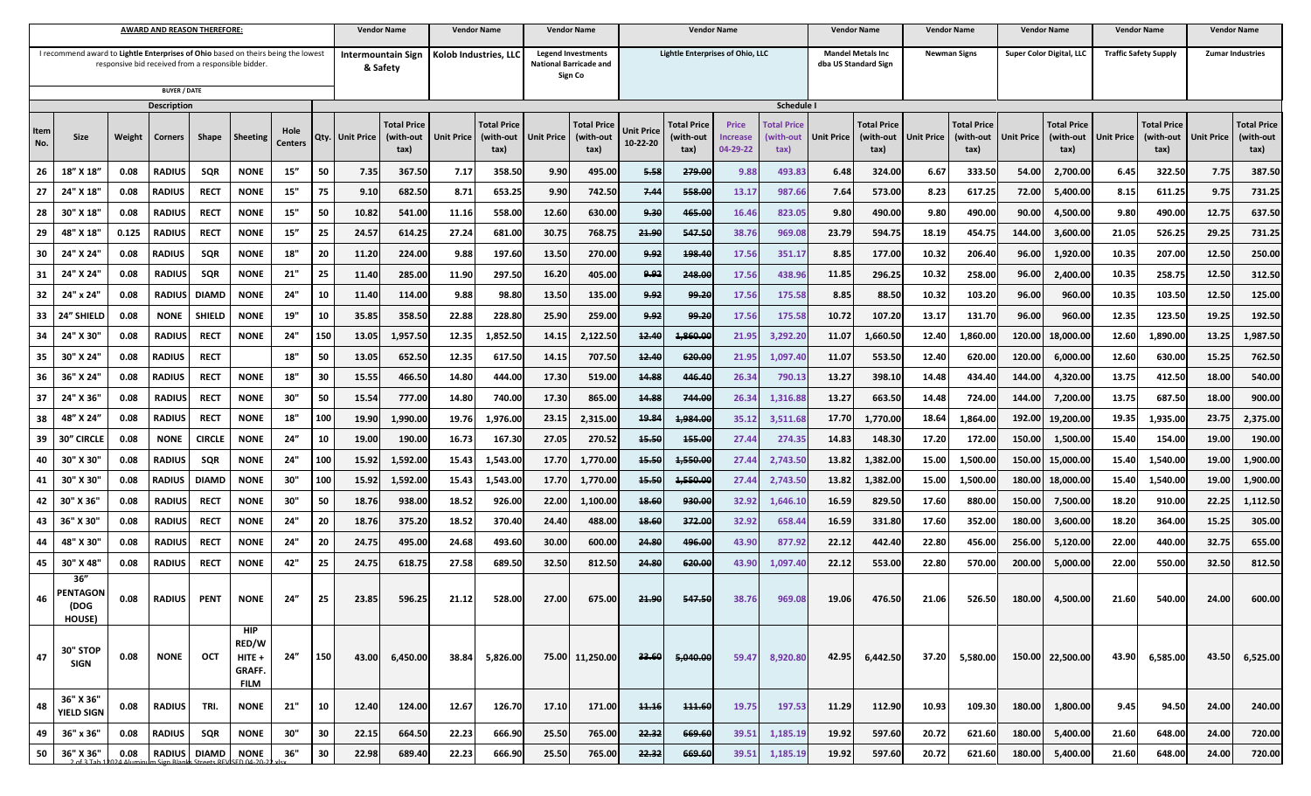|                                                                                                                                        |                                          |        | AWARD AND REASON THEREFORE: |               |                                                          |                |     | <b>Vendor Name</b> |                                         | <b>Vendor Name</b>    |                                         |                                                                       | <b>Vendor Name</b>              | <b>Vendor Name</b>               |                                         |                                      |                                         | <b>Vendor Name</b>                               |                                         | <b>Vendor Name</b>  |                                         | <b>Vendor Name</b>       |                                         | Vendor Name                  |                                         | <b>Vendor Name</b>      |                                         |
|----------------------------------------------------------------------------------------------------------------------------------------|------------------------------------------|--------|-----------------------------|---------------|----------------------------------------------------------|----------------|-----|--------------------|-----------------------------------------|-----------------------|-----------------------------------------|-----------------------------------------------------------------------|---------------------------------|----------------------------------|-----------------------------------------|--------------------------------------|-----------------------------------------|--------------------------------------------------|-----------------------------------------|---------------------|-----------------------------------------|--------------------------|-----------------------------------------|------------------------------|-----------------------------------------|-------------------------|-----------------------------------------|
| I recommend award to Lightle Enterprises of Ohio based on theirs being the lowest<br>responsive bid received from a responsible bidder |                                          |        |                             |               |                                                          |                |     |                    | Intermountain Sign<br>& Safety          | Kolob Industries, LLC |                                         | <b>Legend Investments</b><br><b>National Barricade and</b><br>Sign Co |                                 | Lightle Enterprises of Ohio, LLC |                                         |                                      |                                         | <b>Mandel Metals Inc</b><br>dba US Standard Sign |                                         | <b>Newman Signs</b> |                                         | Super Color Digital, LLC |                                         | <b>Traffic Safety Supply</b> |                                         | <b>Zumar Industries</b> |                                         |
| <b>BUYER / DATE</b><br><b>Description</b>                                                                                              |                                          |        |                             |               |                                                          |                |     |                    |                                         |                       |                                         |                                                                       |                                 |                                  |                                         | Schedule I                           |                                         |                                                  |                                         |                     |                                         |                          |                                         |                              |                                         |                         |                                         |
| Item<br>No.                                                                                                                            | Size                                     | Weight | <b>Corners</b>              | Shape         | Sheeting                                                 | Hole<br>Center | Qty | <b>Unit Price</b>  | <b>Total Price</b><br>(with-out<br>tax) | <b>Unit Price</b>     | <b>Total Price</b><br>(with-out<br>tax) | <b>Unit Price</b>                                                     | Total Pric<br>(with-out<br>tax) | Unit Price<br>10-22-20           | <b>Total Price</b><br>(with-out<br>tax) | <b>Price</b><br>Increase<br>04-29-22 | <b>Fotal Price</b><br>(with-out<br>tax) | <b>Unit Price</b>                                | <b>Total Price</b><br>(with-out<br>tax) | Unit Price          | <b>Total Price</b><br>(with-out<br>tax) | Unit Price               | <b>Total Price</b><br>(with-out<br>tax) | <b>Unit Price</b>            | <b>Total Price</b><br>(with-out<br>tax) | Unit Price              | <b>Total Price</b><br>(with-out<br>tax) |
| 26                                                                                                                                     | 18"<br>X 18                              | 0.08   | <b>RADIUS</b>               | SQR           | <b>NONE</b>                                              | 15"            | 50  | 7.35               | 367.50                                  | 7.17                  | 358.50                                  | 9.90                                                                  | 495.00                          | 5.58                             | 279.00                                  | 9.88                                 | 493.8                                   | 6.48                                             | 324.00                                  | 6.67                | 333.50                                  | 54.00                    | 2,700.00                                | 6.45                         | 322.50                                  | 7.75                    | 387.50                                  |
| 27                                                                                                                                     | 24" X 18                                 | 0.08   | <b>RADIUS</b>               | RECT          | <b>NONE</b>                                              | 15"            | 75  | 9.10               | 682.50                                  | 8.71                  | 653.25                                  | 9.90                                                                  | 742.50                          | 7.44                             | 558.00                                  | 13.1                                 | 987.66                                  | 7.64                                             | 573.00                                  | 8.23                | 617.25                                  | 72.00                    | 5,400.00                                | 8.15                         | 611.2                                   | 9.75                    | 731.25                                  |
| 28                                                                                                                                     | 30<br>X 18                               | 0.08   | RADIUS                      | <b>RECT</b>   | <b>NONE</b>                                              | 15"            | 50  | 10.82              | 541.00                                  | 11.10                 | 558.00                                  | 12.60                                                                 | 630.00                          | 9.30                             | 465.00                                  | 16.46                                | 823.0                                   | 9.80                                             | 490.00                                  | 9.80                | 490.00                                  | 90.00                    | 4,500.00                                | 9.80                         | 490.00                                  | 12.75                   | 637.50                                  |
| 29                                                                                                                                     | X 18<br>48                               | 0.125  | <b>RADIUS</b>               | <b>RECT</b>   | <b>NONE</b>                                              | 15''           | 25  | 24.57              | 614.25                                  | 27.24                 | 681.00                                  | 30.75                                                                 | 768.75                          | 21.90                            | 547.50                                  | 38.76                                | 969.08                                  | 23.79                                            | 594.75                                  | 18.19               | 454.75                                  | 144.00                   | 3,600.00                                | 21.05                        | 526.25                                  | 29.25                   | 731.25                                  |
| 30                                                                                                                                     | 24'<br>X 24                              | 0.08   | RADIUS                      | SQR           | <b>NONE</b>                                              | 18"            | 20  | 11.20              | 224.00                                  | 9.88                  | 197.60                                  | 13.50                                                                 | 270.00                          | 9.92                             | 198.40                                  | 17.56                                | 351.17                                  | 8.85                                             | 177.00                                  | 10.32               | 206.40                                  | 96.00                    | 1,920.00                                | 10.35                        | 207.00                                  | 12.50                   | 250.00                                  |
| 31                                                                                                                                     | -24'<br>X 24                             | 0.08   | <b>RADIUS</b>               | SQR           | <b>NONE</b>                                              | 21"            | 25  | 11.40              | 285.00                                  | 11.90                 | 297.50                                  | 16.20                                                                 | 405.00                          | چوبو                             | 248.00                                  | 17.56                                | 438.9                                   | 11.85                                            | 296.25                                  | 10.32               | 258.00                                  | 96.00                    | 2,400.00                                | 10.35                        | 258.7                                   | 12.50                   | 312.50                                  |
| 32                                                                                                                                     | 24" x 24"                                | 0.08   | <b>RADIUS</b>               | <b>DIAMD</b>  | <b>NONE</b>                                              | 24"            | 10  | 11.40              | 114.00                                  | 9.88                  | 98.80                                   | 13.50                                                                 | 135.00                          | 9.92                             | 99.20                                   | 17.56                                | 175.58                                  | 8.85                                             | 88.50                                   | 10.32               | 103.20                                  | 96.00                    | 960.00                                  | 10.35                        | 103.50                                  | 12.50                   | 125.00                                  |
| 33                                                                                                                                     | 24'<br><b>SHIELD</b>                     | 0.08   | <b>NONE</b>                 | <b>SHIELD</b> | <b>NONE</b>                                              | 19"            | 10  | 35.85              | 358.50                                  | 22.88                 | 228.80                                  | 25.90                                                                 | 259.00                          | 9.92                             | 99.20                                   | 17.56                                | 175.58                                  | 10.72                                            | 107.20                                  | 13.17               | 131.70                                  | 96.00                    | 960.00                                  | 12.35                        | 123.50                                  | 19.25                   | 192.50                                  |
| 34                                                                                                                                     |                                          | 0.08   | <b>RADIUS</b>               | RECT          | NONE                                                     | 24"            | 150 | 13.05              | 1,957.50                                | 12.35                 | 1,852.50                                | 14.15                                                                 | 2,122.50                        | 12.40                            | 1,860.00                                | 21.95                                | 3,292.2                                 | 11.07                                            | 1,660.5                                 | 12.40               | 1,860.00                                | 120.00                   | 18,000.00                               | 12.60                        | 1,890.00                                | 13.25                   | 1,987.50                                |
| 35                                                                                                                                     | 30" X 24                                 | 0.08   | RADIUS                      | <b>RECT</b>   |                                                          | 18"            | 50  | 13.05              | 652.50                                  | 12.35                 | 617.50                                  | 14.15                                                                 | 707.50                          | 12.40                            | 620.00                                  | 21.95                                | 1,097.4                                 | 11.07                                            | 553.50                                  | 12.40               | 620.00                                  | 120.00                   | 6,000.00                                | 12.60                        | 630.00                                  | 15.25                   | 762.50                                  |
| 36                                                                                                                                     | -36'<br>" X 24                           | 0.08   | RADIUS                      | RECT          | <b>NONE</b>                                              | 18"            | 30  | 15.55              | 466.50                                  | 14.80                 | 444.00                                  | 17.30                                                                 | 519.00                          | 44.88                            | 446.40                                  | 26.34                                | 790.13                                  | 13.27                                            | 398.10                                  | 14.48               | 434.40                                  | 144.00                   | 4,320.00                                | 13.75                        | 412.50                                  | 18.00                   | 540.00                                  |
| 37                                                                                                                                     | X 36                                     | 0.08   | <b>RADIUS</b>               | <b>RECT</b>   | <b>NONE</b>                                              | 30"            | 50  | 15.54              | 777.00                                  | 14.80                 | 740.00                                  | 17.30                                                                 | 865.00                          | 14.88                            | 744.00                                  | 26.34                                | 1,316.8                                 | 13.27                                            | 663.50                                  | 14.48               | 724.00                                  | 144.00                   | 7,200.00                                | 13.75                        | 687.50                                  | 18.00                   | 900.00                                  |
| 38                                                                                                                                     | 48"<br>X 24                              | 0.08   | RADIUS                      | <b>RECT</b>   | <b>NONE</b>                                              | 18"            | 100 | 19.90              | 1,990.00                                | 19.7                  | 1,976.00                                | 23.15                                                                 | 2,315.00                        | 19.84                            | 1,984.00                                | 35.1                                 | 3,511.6                                 | 17.70                                            | 1,770.00                                | 18.64               | 1,864.00                                | 192.00                   | 19,200.00                               | 19.35                        | 1,935.00                                | 23.75                   | 2,375.00                                |
| 39                                                                                                                                     | 30''<br><b>CIRCLE</b>                    | 0.08   | <b>NONE</b>                 | <b>CIRCLE</b> | <b>NONE</b>                                              | 24''           | 10  | 19.00              | 190.00                                  | 16.73                 | 167.30                                  | 27.05                                                                 | 270.5                           | 45.50                            | 155.00                                  | 27.44                                | 274.3                                   | 14.83                                            | 148.30                                  | 17.20               | 172.00                                  | 150.00                   | 1,500.00                                | 15.40                        | 154.00                                  | 19.00                   | 190.00                                  |
| 40                                                                                                                                     | 30'<br>X 30                              | 0.08   | RADIUS                      | SQR           | NONE                                                     | 24"            | 100 | 15.92              | 1,592.00                                | 15.43                 | 1,543.00                                | 17.70                                                                 | 1,770.00                        | 45.50                            | 1,550.00                                | 27.44                                | 2,743.5                                 | 13.82                                            | 1,382.0                                 | 15.00               | 1,500.00                                | 150.00                   | 15,000.00                               | 15.40                        | 1,540.00                                | 19.00                   | 1,900.00                                |
| 41                                                                                                                                     | 30"<br>X 30                              | 0.08   | <b>RADIUS</b>               | <b>DIAMD</b>  | NONE                                                     | 30"            | 100 | 15.92              | 1,592.00                                | 15.43                 | 1,543.00                                | 17.70                                                                 | 1,770.00                        | 15.50                            | 4,550.00                                | 27.4                                 | 2,743.5                                 | 13.82                                            | 1,382.0                                 | 15.00               | 1,500.00                                | 180.00                   | 18,000.0                                | 15.40                        | 1,540.00                                | 19.00                   | 1,900.00                                |
| 42                                                                                                                                     | 30'<br>X 36                              | 0.08   | <b>RADIUS</b>               | <b>RECT</b>   | <b>NONE</b>                                              | 30"            | 50  | 18.76              | 938.00                                  | 18.52                 | 926.00                                  | 22.00                                                                 | 1,100.00                        | 18.60                            | 930.00                                  | 32.92                                | 1,646.1(                                | 16.59                                            | 829.50                                  | 17.60               | 880.00                                  | 150.00                   | 7,500.00                                | 18.20                        | 910.00                                  | 22.25                   | 1,112.50                                |
| 43                                                                                                                                     | 36" X 30'                                | 0.08   | <b>RADIUS</b>               | RECT          | <b>NONE</b>                                              | 24"            | 20  | 18.76              | 375.20                                  | 18.52                 | 370.40                                  | 24.40                                                                 | 488.00                          | <b>18.60</b>                     | 372.00                                  | 32.92                                | 658.4                                   | 16.59                                            | 331.8                                   | 17.60               | 352.00                                  | 180.00                   | 3,600.00                                | 18.20                        | 364.00                                  | 15.25                   | 305.00                                  |
| 44                                                                                                                                     | 48"<br>X30                               | 0.08   | <b>RADIUS</b>               | <b>RECT</b>   | <b>NONE</b>                                              | 24"            | 20  | 24.75              | 495.00                                  | 24.68                 | 493.60                                  | 30.00                                                                 | 600.00                          | 24.80                            | 496.00                                  | 43.90                                | 877.9                                   | 22.12                                            | 442.40                                  | 22.80               | 456.00                                  | 256.00                   | 5,120.00                                | 22.00                        | 440.00                                  | 32.75                   | 655.00                                  |
| 45                                                                                                                                     | 30" X 48'                                | 0.08   | <b>RADIUS</b>               | RECT          | <b>NONE</b>                                              | 42"            | 25  | 24.75              | 618.75                                  | 27.58                 | 689.50                                  | 32.50                                                                 | 812.50                          | 24.80                            | 620.00                                  | 43.90                                | 1,097.40                                | 22.12                                            | 553.00                                  | 22.80               | 570.00                                  | 200.00                   | 5,000.00                                | 22.00                        | 550.00                                  | 32.50                   | 812.50                                  |
| 46                                                                                                                                     | 36''<br><b>PENTAGO</b><br>/nns<br>HOUSE) | 0.08   | <b>RADIUS</b>               | <b>PENT</b>   | <b>NONE</b>                                              | 24"            | 25  | 23.85              | 596.25                                  | 21.12                 | 528.00                                  | 27.00                                                                 | 675.00                          | 21.90                            | 547.50                                  | 38.76                                | 969.08                                  | 19.06                                            | 476.50                                  | 21.06               | 526.50                                  | 180.00                   | 4,500.00                                | 21.60                        | 540.00                                  | 24.00                   | 600.00                                  |
| 47                                                                                                                                     | 30" STOP<br><b>SIGN</b>                  | 0.08   | <b>NONE</b>                 | OCT           | <b>HIP</b><br>RED/W<br>$HITE +$<br>GRAFF.<br><b>FILM</b> | 24"            | 150 | 43.00              | 6,450.00                                | 38.84                 | 5,826.00                                |                                                                       | 75.00 11,250.00                 | 33.60                            | 5,040.00                                | 59.47                                | 8,920.80                                | 42.95                                            | 6,442.50                                | 37.20               | 5,580.00                                |                          | 150.00 22,500.00                        | 43.90                        | 6,585.00                                | 43.50                   | 6,525.00                                |
| 48                                                                                                                                     | 36" X 36"<br><b>YIELD SIGN</b>           | 0.08   | <b>RADIUS</b>               | TRI.          | <b>NONE</b>                                              | 21"            | 10  | 12.40              | 124.00                                  | 12.67                 | 126.70                                  | 17.10                                                                 | 171.00                          | <del>11.16</del>                 | <b>111.60</b>                           | 19.75                                | 197.53                                  | 11.29                                            | 112.90                                  | 10.93               | 109.30                                  | 180.00                   | 1,800.00                                | 9.45                         | 94.50                                   | 24.00                   | 240.00                                  |
| 49                                                                                                                                     | 36" x 36"                                | 0.08   | <b>RADIUS</b>               | SQR           | <b>NONE</b>                                              | 30"            | 30  | 22.15              | 664.50                                  | 22.23                 | 666.90                                  | 25.50                                                                 | 765.00                          | 22.32                            | 669.60                                  | 39.51                                | 1,185.19                                | 19.92                                            | 597.60                                  | 20.72               | 621.60                                  | 180.00                   | 5,400.00                                | 21.60                        | 648.00                                  | 24.00                   | 720.00                                  |
| 50                                                                                                                                     | 36" X 36"                                | 0.08   |                             | RADIUS DIAMD  | <b>NONE</b>                                              | 36"            | 30  | 22.98              | 689.40                                  | 22.23                 | 666.90                                  | 25.50                                                                 | 765.00                          | 22.32                            | 669.60                                  | 39.51                                | 1,185.19                                | 19.92                                            | 597.60                                  | 20.72               | 621.60                                  | 180.00                   | 5,400.00                                | 21.60                        | 648.00                                  | 24.00                   | 720.00                                  |